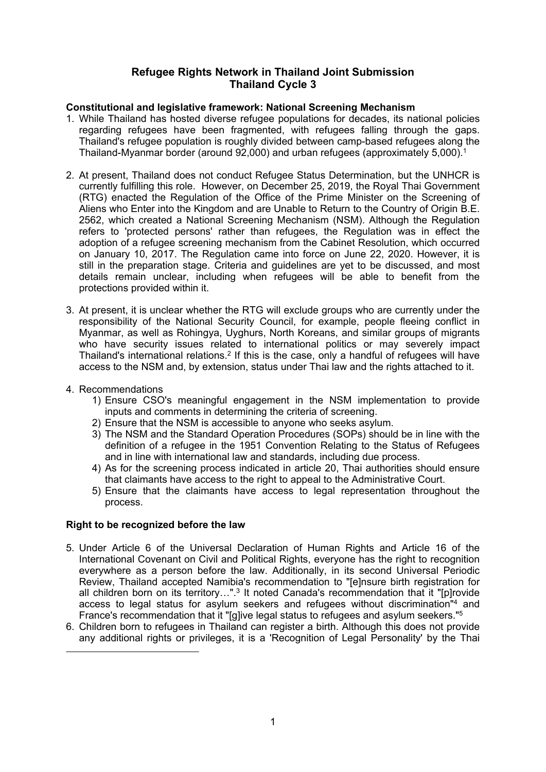## **Refugee Rights Network in Thailand Joint Submission Thailand Cycle 3**

## **Constitutional and legislative framework: National Screening Mechanism**

- 1. While Thailand has hosted diverse refugee populations for decades, its national policies regarding refugees have been fragmented, with refugees falling through the gaps. Thailand's refugee population is roughly divided between camp-based refugees along the Thailand-Myanmar border (around 92,000) and urban refugees (approximately 5,000). 1
- 2. At present, Thailand does not conduct Refugee Status Determination, but the UNHCR is currently fulfilling this role. However, on December 25, 2019, the Royal Thai Government (RTG) enacted the Regulation of the Office of the Prime Minister on the Screening of Aliens who Enter into the Kingdom and are Unable to Return to the Country of Origin B.E. 2562, which created <sup>a</sup> National Screening Mechanism (NSM). Although the Regulation refers to 'protected persons' rather than refugees, the Regulation was in effect the adoption of <sup>a</sup> refugee screening mechanism from the Cabinet Resolution, which occurred on January 10, 2017. The Regulation came into force on June 22, 2020. However, it is still in the preparation stage. Criteria and guidelines are yet to be discussed, and most details remain unclear, including when refugees will be able to benefit from the protections provided within it.
- 3. At present, it is unclear whether the RTG will exclude groups who are currently under the responsibility of the National Security Council, for example, people fleeing conflict in Myanmar, as well as Rohingya, Uyghurs, North Koreans, and similar groups of migrants who have security issues related to international politics or may severely impact Thailand's international relations. $^2$  If this is the case, only a handful of refugees will have access to the NSM and, by extension, status under Thai law and the rights attached to it.
- 4. Recommendations
	- 1) Ensure CSO's meaningful engagement in the NSM implementation to provide inputs and comments in determining the criteria of screening.
	- 2) Ensure that the NSM is accessible to anyone who seeks asylum.
	- 3) The NSM and the Standard Operation Procedures (SOPs) should be in line with the definition of <sup>a</sup> refugee in the 1951 Convention Relating to the Status of Refugees and in line with international law and standards, including due process.
	- 4) As for the screening process indicated in article 20, Thai authorities should ensure that claimants have access to the right to appeal to the Administrative Court.
	- 5) Ensure that the claimants have access to legal representation throughout the process.

# **Right to be recognized before the law**

- 5. Under Article 6 of the Universal Declaration of Human Rights and Article 16 of the International Covenant on Civil and Political Rights, everyone has the right to recognition everywhere as <sup>a</sup> person before the law. Additionally, in its second Universal Periodic Review, Thailand accepted Namibia's recommendation to "[e]nsure birth registration for all children born on its territory…".<sup>3</sup> It noted Canada's recommendation that it "[p]rovide access to legal status for asylum seekers and refugees without discrimination" 4 and France's recommendation that it "[g]ive legal status to refugees and asylum seekers." 5
- 6. Children born to refugees in Thailand can register <sup>a</sup> birth. Although this does not provide any additional rights or privileges, it is <sup>a</sup> 'Recognition of Legal Personality' by the Thai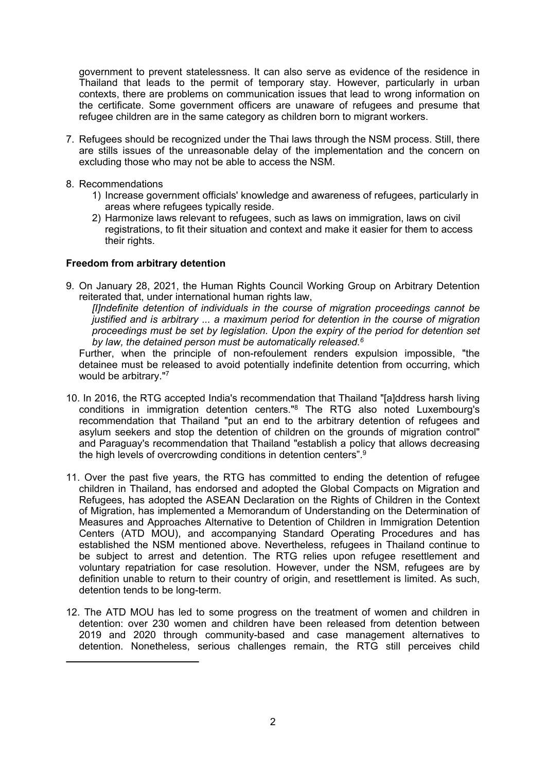government to prevent statelessness. It can also serve as evidence of the residence in Thailand that leads to the permit of temporary stay. However, particularly in urban contexts, there are problems on communication issues that lead to wrong information on the certificate. Some government officers are unaware of refugees and presume that refugee children are in the same category as children born to migrant workers.

- 7. Refugees should be recognized under the Thai laws through the NSM process. Still, there are stills issues of the unreasonable delay of the implementation and the concern on excluding those who may not be able to access the NSM.
- 8. Recommendations
	- 1) Increase government officials' knowledge and awareness of refugees, particularly in areas where refugees typically reside.
	- 2) Harmonize laws relevant to refugees, such as laws on immigration, laws on civil registrations, to fit their situation and context and make it easier for them to access their rights.

#### **Freedom from arbitrary detention**

9. On January 28, 2021, the Human Rights Council Working Group on Arbitrary Detention reiterated that, under international human rights law,

*[I]ndefinite detention of individuals in the course of migration proceedings cannot be justified and is arbitrary ... <sup>a</sup> maximum period for detention in the course of migration proceedings must be set by legislation. Upon the expiry of the period for detention set by law, the detained person must be automatically released. 6*

Further, when the principle of non-refoulement renders expulsion impossible, "the detainee must be released to avoid potentially indefinite detention from occurring, which would be arbitrary." 7

- 10. In 2016, the RTG accepted India's recommendation that Thailand "[a]ddress harsh living conditions in immigration detention centers." 8 The RTG also noted Luxembourg's recommendation that Thailand "put an end to the arbitrary detention of refugees and asylum seekers and stop the detention of children on the grounds of migration control" and Paraguay's recommendation that Thailand "establish <sup>a</sup> policy that allows decreasing the high levels of overcrowding conditions in detention centers". $^\mathrm{g}$
- 11. Over the past five years, the RTG has committed to ending the detention of refugee children in Thailand, has endorsed and adopted the Global Compacts on Migration and Refugees, has adopted the ASEAN Declaration on the Rights of Children in the Context of Migration, has implemented <sup>a</sup> Memorandum of Understanding on the Determination of Measures and Approaches Alternative to Detention of Children in Immigration Detention Centers (ATD MOU), and accompanying Standard Operating Procedures and has established the NSM mentioned above. Nevertheless, refugees in Thailand continue to be subject to arrest and detention. The RTG relies upon refugee resettlement and voluntary repatriation for case resolution. However, under the NSM, refugees are by definition unable to return to their country of origin, and resettlement is limited. As such, detention tends to be long-term.
- 12. The ATD MOU has led to some progress on the treatment of women and children in detention: over 230 women and children have been released from detention between 2019 and 2020 through community-based and case management alternatives to detention. Nonetheless, serious challenges remain, the RTG still perceives child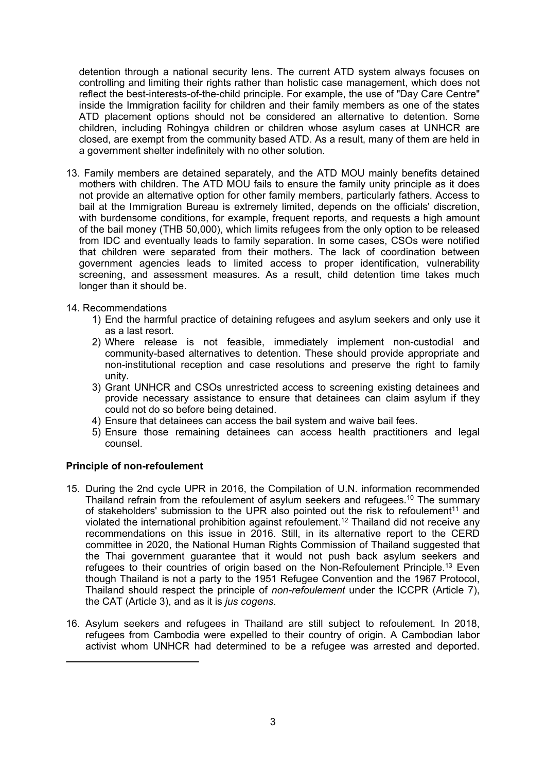detention through <sup>a</sup> national security lens. The current ATD system always focuses on controlling and limiting their rights rather than holistic case management, which does not reflect the best-interests-of-the-child principle. For example, the use of "Day Care Centre" inside the Immigration facility for children and their family members as one of the states ATD placement options should not be considered an alternative to detention. Some children, including Rohingya children or children whose asylum cases at UNHCR are closed, are exempt from the community based ATD. As <sup>a</sup> result, many of them are held in <sup>a</sup> government shelter indefinitely with no other solution.

- 13. Family members are detained separately, and the ATD MOU mainly benefits detained mothers with children. The ATD MOU fails to ensure the family unity principle as it does not provide an alternative option for other family members, particularly fathers. Access to bail at the Immigration Bureau is extremely limited, depends on the officials' discretion, with burdensome conditions, for example, frequent reports, and requests <sup>a</sup> high amount of the bail money (THB 50,000), which limits refugees from the only option to be released from IDC and eventually leads to family separation. In some cases, CSOs were notified that children were separated from their mothers. The lack of coordination between government agencies leads to limited access to proper identification, vulnerability screening, and assessment measures. As <sup>a</sup> result, child detention time takes much longer than it should be.
- 14. Recommendations
	- 1) End the harmful practice of detaining refugees and asylum seekers and only use it as a last resort.
	- 2) Where release is not feasible, immediately implement non-custodial and community-based alternatives to detention. These should provide appropriate and non-institutional reception and case resolutions and preserve the right to family unity.
	- 3) Grant UNHCR and CSOs unrestricted access to screening existing detainees and provide necessary assistance to ensure that detainees can claim asylum if they could not do so before being detained.
	- 4) Ensure that detainees can access the bail system and waive bail fees.
	- 5) Ensure those remaining detainees can access health practitioners and legal counsel.

### **Principle of non-refoulement**

- 15. During the 2nd cycle UPR in 2016, the Compilation of U.N. information recommended Thailand refrain from the refoulement of asylum seekers and refugees. 10 The summary of stakeholders' submission to the UPR also pointed out the risk to refoulement $^{\rm 11}$  and violated the international prohibition against refoulement. 12 Thailand did not receive any recommendations on this issue in 2016. Still, in its alternative report to the CERD committee in 2020, the National Human Rights Commission of Thailand suggested that the Thai government guarantee that it would not push back asylum seekers and refugees to their countries of origin based on the Non-Refoulement Principle. <sup>13</sup> Even though Thailand is not <sup>a</sup> party to the 1951 Refugee Convention and the 1967 Protocol, Thailand should respect the principle of *non-refoulement* under the ICCPR (Article 7), the CAT (Article 3), and as it is *jus cogens*.
- 16. Asylum seekers and refugees in Thailand are still subject to refoulement. In 2018, refugees from Cambodia were expelled to their country of origin. A Cambodian labor activist whom UNHCR had determined to be <sup>a</sup> refugee was arrested and deported.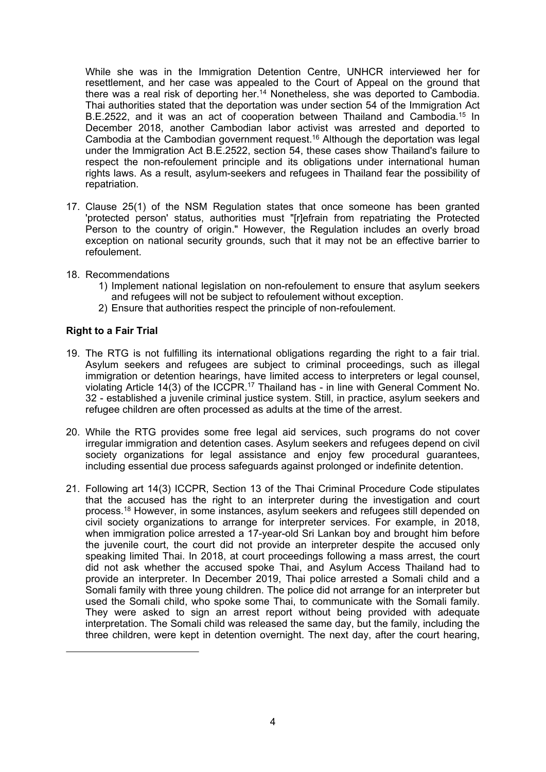While she was in the Immigration Detention Centre, UNHCR interviewed her for resettlement, and her case was appealed to the Court of Appeal on the ground that there was a real risk of deporting her.<sup>14</sup> Nonetheless, she was deported to Cambodia. Thai authorities stated that the deportation was under section 54 of the Immigration Act B.E.2522, and it was an act of cooperation between Thailand and Cambodia.<sup>15</sup> In December 2018, another Cambodian labor activist was arrested and deported to Cambodia at the Cambodian government request. <sup>16</sup> Although the deportation was legal under the Immigration Act B.E.2522, section 54, these cases show Thailand's failure to respect the non-refoulement principle and its obligations under international human rights laws. As <sup>a</sup> result, asylum-seekers and refugees in Thailand fear the possibility of repatriation.

- 17. Clause 25(1) of the NSM Regulation states that once someone has been granted 'protected person' status, authorities must "[r]efrain from repatriating the Protected Person to the country of origin." However, the Regulation includes an overly broad exception on national security grounds, such that it may not be an effective barrier to refoulement.
- 18. Recommendations
	- 1) Implement national legislation on non-refoulement to ensure that asylum seekers and refugees will not be subject to refoulement without exception.
	- 2) Ensure that authorities respect the principle of non-refoulement.

#### **Right to <sup>a</sup> Fair Trial**

- 19. The RTG is not fulfilling its international obligations regarding the right to <sup>a</sup> fair trial. Asylum seekers and refugees are subject to criminal proceedings, such as illegal immigration or detention hearings, have limited access to interpreters or legal counsel, violating Article 14(3) of the ICCPR.<sup>17</sup> Thailand has - in line with General Comment No. 32 - established <sup>a</sup> juvenile criminal justice system. Still, in practice, asylum seekers and refugee children are often processed as adults at the time of the arrest.
- 20. While the RTG provides some free legal aid services, such programs do not cover irregular immigration and detention cases. Asylum seekers and refugees depend on civil society organizations for legal assistance and enjoy few procedural guarantees, including essential due process safeguards against prolonged or indefinite detention.
- 21. Following art 14(3) ICCPR, Section 13 of the Thai Criminal Procedure Code stipulates that the accused has the right to an interpreter during the investigation and court process. <sup>18</sup> However, in some instances, asylum seekers and refugees still depended on civil society organizations to arrange for interpreter services. For example, in 2018, when immigration police arrested <sup>a</sup> 17-year-old Sri Lankan boy and brought him before the juvenile court, the court did not provide an interpreter despite the accused only speaking limited Thai. In 2018, at court proceedings following <sup>a</sup> mass arrest, the court did not ask whether the accused spoke Thai, and Asylum Access Thailand had to provide an interpreter. In December 2019, Thai police arrested <sup>a</sup> Somali child and <sup>a</sup> Somali family with three young children. The police did not arrange for an interpreter but used the Somali child, who spoke some Thai, to communicate with the Somali family. They were asked to sign an arrest report without being provided with adequate interpretation. The Somali child was released the same day, but the family, including the three children, were kept in detention overnight. The next day, after the court hearing,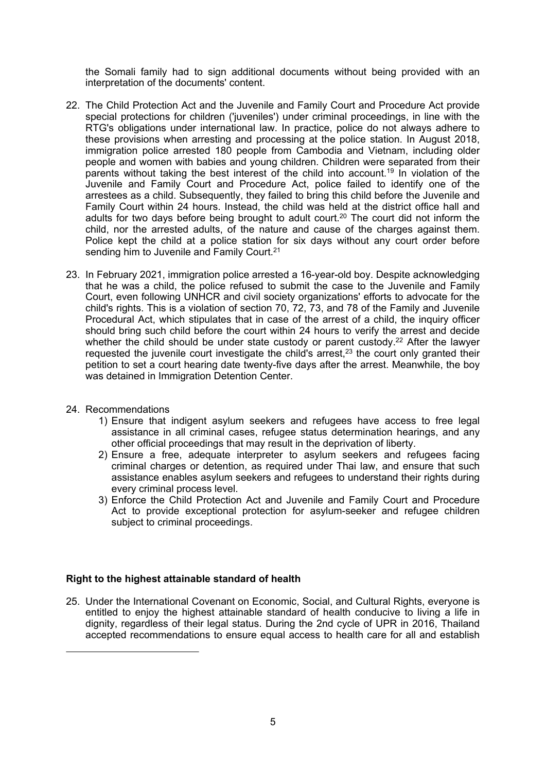the Somali family had to sign additional documents without being provided with an interpretation of the documents' content.

- 22. The Child Protection Act and the Juvenile and Family Court and Procedure Act provide special protections for children ('juveniles') under criminal proceedings, in line with the RTG's obligations under international law. In practice, police do not always adhere to these provisions when arresting and processing at the police station. In August 2018, immigration police arrested 180 people from Cambodia and Vietnam, including older people and women with babies and young children. Children were separated from their parents without taking the best interest of the child into account. 19 In violation of the Juvenile and Family Court and Procedure Act, police failed to identify one of the arrestees as <sup>a</sup> child. Subsequently, they failed to bring this child before the Juvenile and Family Court within 24 hours. Instead, the child was held at the district office hall and adults for two days before being brought to adult court. 20 The court did not inform the child, nor the arrested adults, of the nature and cause of the charges against them. Police kept the child at <sup>a</sup> police station for six days without any court order before sending him to Juvenile and Family Court. $^{27}$
- 23. In February 2021, immigration police arrested <sup>a</sup> 16-year-old boy. Despite acknowledging that he was <sup>a</sup> child, the police refused to submit the case to the Juvenile and Family Court, even following UNHCR and civil society organizations' efforts to advocate for the child's rights. This is <sup>a</sup> violation of section 70, 72, 73, and 78 of the Family and Juvenile Procedural Act, which stipulates that in case of the arrest of <sup>a</sup> child, the inquiry officer should bring such child before the court within 24 hours to verify the arrest and decide whether the child should be under state custody or parent custody.<sup>22</sup> After the lawyer requested the juvenile court investigate the child's arrest, $^{\rm 23}$  the court only granted their petition to set <sup>a</sup> court hearing date twenty-five days after the arrest. Meanwhile, the boy was detained in Immigration Detention Center.
- 24. Recommendations
	- 1) Ensure that indigent asylum seekers and refugees have access to free legal assistance in all criminal cases, refugee status determination hearings, and any other official proceedings that may result in the deprivation of liberty.
	- 2) Ensure <sup>a</sup> free, adequate interpreter to asylum seekers and refugees facing criminal charges or detention, as required under Thai law, and ensure that such assistance enables asylum seekers and refugees to understand their rights during every criminal process level.
	- 3) Enforce the Child Protection Act and Juvenile and Family Court and Procedure Act to provide exceptional protection for asylum-seeker and refugee children subject to criminal proceedings.

### **Right to the highest attainable standard of health**

25. Under the International Covenant on Economic, Social, and Cultural Rights, everyone is entitled to enjoy the highest attainable standard of health conducive to living <sup>a</sup> life in dignity, regardless of their legal status. During the 2nd cycle of UPR in 2016, Thailand accepted recommendations to ensure equal access to health care for all and establish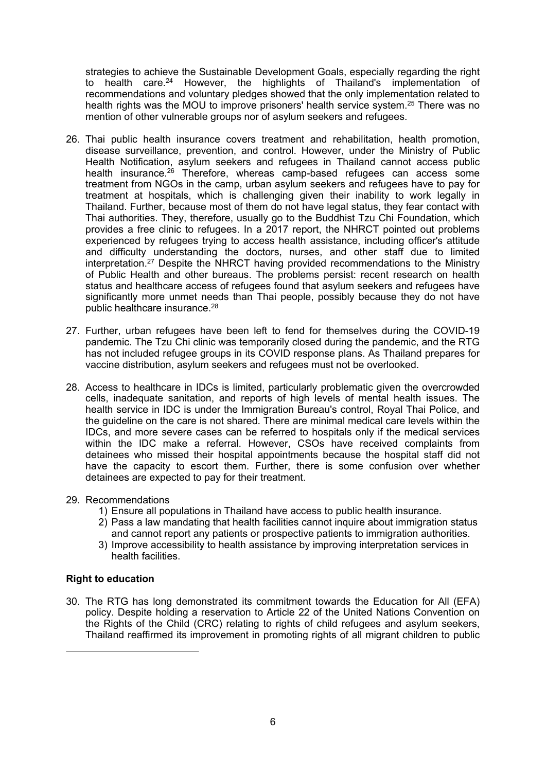strategies to achieve the Sustainable Development Goals, especially regarding the right to health care. <sup>24</sup> However, the highlights of Thailand's implementation of recommendations and voluntary pledges showed that the only implementation related to health rights was the MOU to improve prisoners' health service system. 25 There was no mention of other vulnerable groups nor of asylum seekers and refugees.

- 26. Thai public health insurance covers treatment and rehabilitation, health promotion, disease surveillance, prevention, and control. However, under the Ministry of Public Health Notification, asylum seekers and refugees in Thailand cannot access public health insurance.<sup>26</sup> Therefore, whereas camp-based refugees can access some treatment from NGOs in the camp, urban asylum seekers and refugees have to pay for treatment at hospitals, which is challenging given their inability to work legally in Thailand. Further, because most of them do not have legal status, they fear contact with Thai authorities. They, therefore, usually go to the Buddhist Tzu Chi Foundation, which provides <sup>a</sup> free clinic to refugees. In <sup>a</sup> 2017 report, the NHRCT pointed out problems experienced by refugees trying to access health assistance, including officer's attitude and difficulty understanding the doctors, nurses, and other staff due to limited interpretation. <sup>27</sup> Despite the NHRCT having provided recommendations to the Ministry of Public Health and other bureaus. The problems persist: recent research on health status and healthcare access of refugees found that asylum seekers and refugees have significantly more unmet needs than Thai people, possibly because they do not have public healthcare insurance.<sup>28</sup>
- 27. Further, urban refugees have been left to fend for themselves during the COVID-19 pandemic. The Tzu Chi clinic was temporarily closed during the pandemic, and the RTG has not included refugee groups in its COVID response plans. As Thailand prepares for vaccine distribution, asylum seekers and refugees must not be overlooked.
- 28. Access to healthcare in IDCs is limited, particularly problematic given the overcrowded cells, inadequate sanitation, and reports of high levels of mental health issues. The health service in IDC is under the Immigration Bureau's control, Royal Thai Police, and the guideline on the care is not shared. There are minimal medical care levels within the IDCs, and more severe cases can be referred to hospitals only if the medical services within the IDC make <sup>a</sup> referral. However, CSOs have received complaints from detainees who missed their hospital appointments because the hospital staff did not have the capacity to escort them. Further, there is some confusion over whether detainees are expected to pay for their treatment.

#### 29. Recommendations

- 1) Ensure all populations in Thailand have access to public health insurance.
- 2) Pass <sup>a</sup> law mandating that health facilities cannot inquire about immigration status and cannot report any patients or prospective patients to immigration authorities.
- 3) Improve accessibility to health assistance by improving interpretation services in health facilities.

#### **Right to education**

30. The RTG has long demonstrated its commitment towards the Education for All (EFA) policy. Despite holding <sup>a</sup> reservation to Article 22 of the United Nations Convention on the Rights of the Child (CRC) relating to rights of child refugees and asylum seekers, Thailand reaffirmed its improvement in promoting rights of all migrant children to public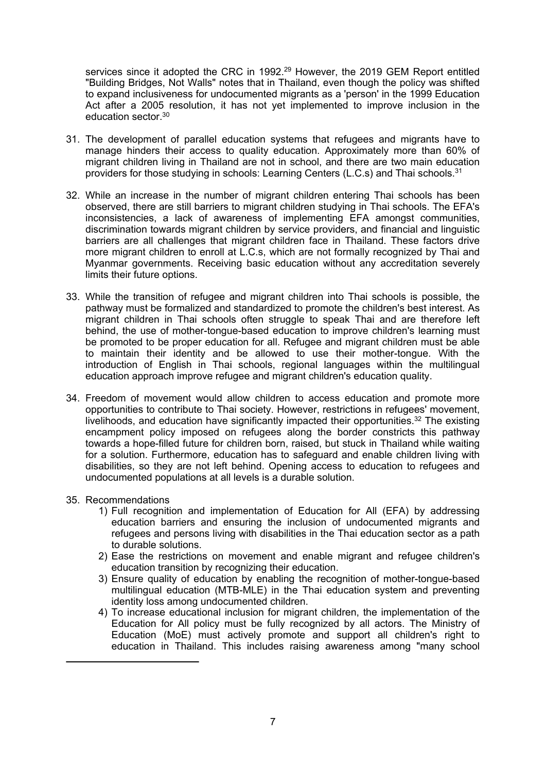services since it adopted the CRC in 1992.<sup>29</sup> However, the 2019 GEM Report entitled "Building Bridges, Not Walls" notes that in Thailand, even though the policy was shifted to expand inclusiveness for undocumented migrants as <sup>a</sup> 'person' in the 1999 Education Act after <sup>a</sup> 2005 resolution, it has not yet implemented to improve inclusion in the education sector.<sup>30</sup>

- 31. The development of parallel education systems that refugees and migrants have to manage hinders their access to quality education. Approximately more than 60% of migrant children living in Thailand are not in school, and there are two main education providers for those studying in schools: Learning Centers (L.C.s) and Thai schools. $^3$
- 32. While an increase in the number of migrant children entering Thai schools has been observed, there are still barriers to migrant children studying in Thai schools. The EFA's inconsistencies, <sup>a</sup> lack of awareness of implementing EFA amongst communities, discrimination towards migrant children by service providers, and financial and linguistic barriers are all challenges that migrant children face in Thailand. These factors drive more migrant children to enroll at L.C.s, which are not formally recognized by Thai and Myanmar governments. Receiving basic education without any accreditation severely limits their future options.
- 33. While the transition of refugee and migrant children into Thai schools is possible, the pathway must be formalized and standardized to promote the children's best interest. As migrant children in Thai schools often struggle to speak Thai and are therefore left behind, the use of mother-tongue-based education to improve children's learning must be promoted to be proper education for all. Refugee and migrant children must be able to maintain their identity and be allowed to use their mother-tongue. With the introduction of English in Thai schools, regional languages within the multilingual education approach improve refugee and migrant children's education quality.
- 34. Freedom of movement would allow children to access education and promote more opportunities to contribute to Thai society. However, restrictions in refugees' movement, livelihoods, and education have significantly impacted their opportunities.<sup>32</sup> The existing encampment policy imposed on refugees along the border constricts this pathway towards <sup>a</sup> hope-filled future for children born, raised, but stuck in Thailand while waiting for <sup>a</sup> solution. Furthermore, education has to safeguard and enable children living with disabilities, so they are not left behind. Opening access to education to refugees and undocumented populations at all levels is <sup>a</sup> durable solution.
- 35. Recommendations
	- 1) Full recognition and implementation of Education for All (EFA) by addressing education barriers and ensuring the inclusion of undocumented migrants and refugees and persons living with disabilities in the Thai education sector as <sup>a</sup> path to durable solutions.
	- 2) Ease the restrictions on movement and enable migrant and refugee children's education transition by recognizing their education.
	- 3) Ensure quality of education by enabling the recognition of mother-tongue-based multilingual education (MTB-MLE) in the Thai education system and preventing identity loss among undocumented children.
	- 4) To increase educational inclusion for migrant children, the implementation of the Education for All policy must be fully recognized by all actors. The Ministry of Education (MoE) must actively promote and support all children's right to education in Thailand. This includes raising awareness among "many school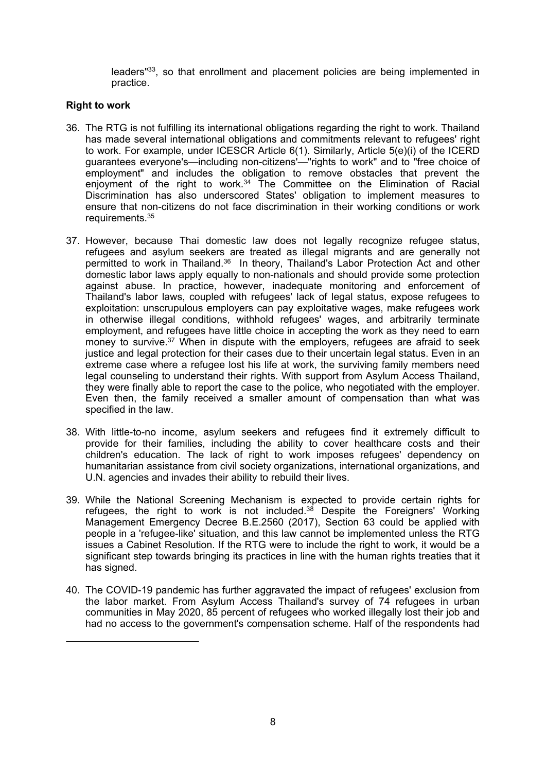leaders"<sup>33</sup>, so that enrollment and placement policies are being implemented in practice.

### **Right to work**

- 36. The RTG is not fulfilling its international obligations regarding the right to work. Thailand has made several international obligations and commitments relevant to refugees' right to work. For example, under ICESCR Article 6(1). Similarly, Article 5(e)(i) of the ICERD guarantees everyone's—including non-citizens'—"rights to work" and to "free choice of employment" and includes the obligation to remove obstacles that prevent the enjoyment of the right to work.<sup>34</sup> The Committee on the Elimination of Racial Discrimination has also underscored States' obligation to implement measures to ensure that non-citizens do not face discrimination in their working conditions or work requirements. 35
- 37. However, because Thai domestic law does not legally recognize refugee status, refugees and asylum seekers are treated as illegal migrants and are generally not permitted to work in Thailand.<sup>36</sup> In theory, Thailand's Labor Protection Act and other domestic labor laws apply equally to non-nationals and should provide some protection against abuse. In practice, however, inadequate monitoring and enforcement of Thailand's labor laws, coupled with refugees' lack of legal status, expose refugees to exploitation: unscrupulous employers can pay exploitative wages, make refugees work in otherwise illegal conditions, withhold refugees' wages, and arbitrarily terminate employment, and refugees have little choice in accepting the work as they need to earn money to survive. <sup>37</sup> When in dispute with the employers, refugees are afraid to seek justice and legal protection for their cases due to their uncertain legal status. Even in an extreme case where <sup>a</sup> refugee lost his life at work, the surviving family members need legal counseling to understand their rights. With support from Asylum Access Thailand, they were finally able to report the case to the police, who negotiated with the employer. Even then, the family received <sup>a</sup> smaller amount of compensation than what was specified in the law.
- 38. With little-to-no income, asylum seekers and refugees find it extremely difficult to provide for their families, including the ability to cover healthcare costs and their children's education. The lack of right to work imposes refugees' dependency on humanitarian assistance from civil society organizations, international organizations, and U.N. agencies and invades their ability to rebuild their lives.
- 39. While the National Screening Mechanism is expected to provide certain rights for refugees, the right to work is not included.<sup>38</sup> Despite the Foreigners' Working Management Emergency Decree B.E.2560 (2017), Section 63 could be applied with people in <sup>a</sup> 'refugee-like' situation, and this law cannot be implemented unless the RTG issues <sup>a</sup> Cabinet Resolution. If the RTG were to include the right to work, it would be <sup>a</sup> significant step towards bringing its practices in line with the human rights treaties that it has signed.
- 40. The COVID-19 pandemic has further aggravated the impact of refugees' exclusion from the labor market. From Asylum Access Thailand's survey of 74 refugees in urban communities in May 2020, 85 percent of refugees who worked illegally lost their job and had no access to the government's compensation scheme. Half of the respondents had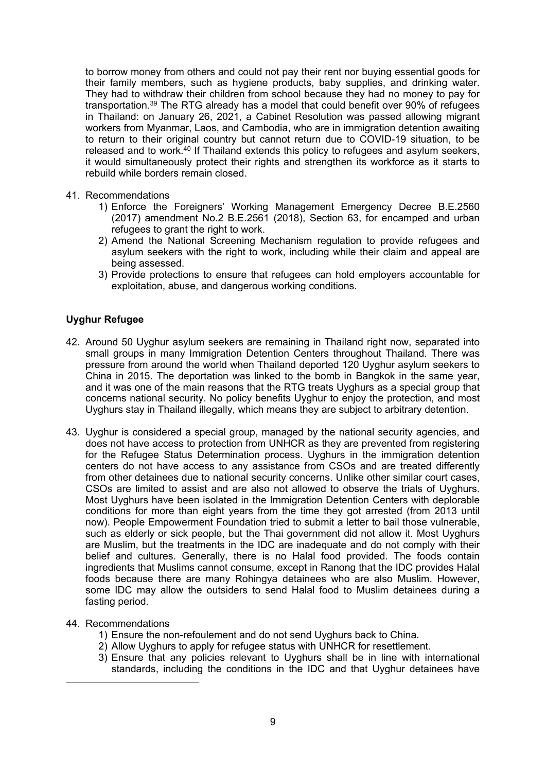to borrow money from others and could not pay their rent nor buying essential goods for their family members, such as hygiene products, baby supplies, and drinking water. They had to withdraw their children from school because they had no money to pay for transportation.<sup>39</sup> The RTG already has a model that could benefit over 90% of refugees in Thailand: on January 26, 2021, <sup>a</sup> Cabinet Resolution was passed allowing migrant workers from Myanmar, Laos, and Cambodia, who are in immigration detention awaiting to return to their original country but cannot return due to COVID-19 situation, to be released and to work.<sup>40</sup> If Thailand extends this policy to refugees and asylum seekers, it would simultaneously protect their rights and strengthen its workforce as it starts to rebuild while borders remain closed.

- 41. Recommendations
	- 1) Enforce the Foreigners' Working Management Emergency Decree B.E.2560 (2017) amendment No.2 B.E.2561 (2018), Section 63, for encamped and urban refugees to grant the right to work.
	- 2) Amend the National Screening Mechanism regulation to provide refugees and asylum seekers with the right to work, including while their claim and appeal are being assessed.
	- 3) Provide protections to ensure that refugees can hold employers accountable for exploitation, abuse, and dangerous working conditions.

## **Uyghur Refugee**

- 42. Around 50 Uyghur asylum seekers are remaining in Thailand right now, separated into small groups in many Immigration Detention Centers throughout Thailand. There was pressure from around the world when Thailand deported 120 Uyghur asylum seekers to China in 2015. The deportation was linked to the bomb in Bangkok in the same year, and it was one of the main reasons that the RTG treats Uyghurs as <sup>a</sup> special group that concerns national security. No policy benefits Uyghur to enjoy the protection, and most Uyghurs stay in Thailand illegally, which means they are subject to arbitrary detention.
- 43. Uyghur is considered <sup>a</sup> special group, managed by the national security agencies, and does not have access to protection from UNHCR as they are prevented from registering for the Refugee Status Determination process. Uyghurs in the immigration detention centers do not have access to any assistance from CSOs and are treated differently from other detainees due to national security concerns. Unlike other similar court cases, CSOs are limited to assist and are also not allowed to observe the trials of Uyghurs. Most Uyghurs have been isolated in the Immigration Detention Centers with deplorable conditions for more than eight years from the time they got arrested (from 2013 until now). People Empowerment Foundation tried to submit <sup>a</sup> letter to bail those vulnerable, such as elderly or sick people, but the Thai government did not allow it. Most Uyghurs are Muslim, but the treatments in the IDC are inadequate and do not comply with their belief and cultures. Generally, there is no Halal food provided. The foods contain ingredients that Muslims cannot consume, except in Ranong that the IDC provides Halal foods because there are many Rohingya detainees who are also Muslim. However, some IDC may allow the outsiders to send Halal food to Muslim detainees during <sup>a</sup> fasting period.
- 44. Recommendations
	- 1) Ensure the non-refoulement and do not send Uyghurs back to China.
	- 2) Allow Uyghurs to apply for refugee status with UNHCR for resettlement.
	- 3) Ensure that any policies relevant to Uyghurs shall be in line with international standards, including the conditions in the IDC and that Uyghur detainees have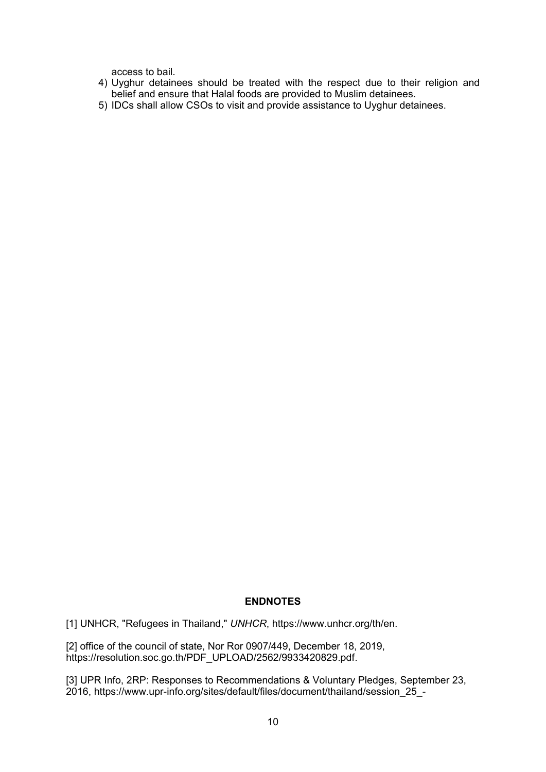access to bail.

- 4) Uyghur detainees should be treated with the respect due to their religion and belief and ensure that Halal foods are provided to Muslim detainees.
- 5) IDCs shall allow CSOs to visit and provide assistance to Uyghur detainees.

# **ENDNOTES**

[1] UNHCR, "Refugees in Thailand," *UNHCR*, https://www.unhcr.org/th/en.

[2] office of the council of state, Nor Ror 0907/449, December 18, 2019, https://resolution.soc.go.th/PDF\_UPLOAD/2562/9933420829.pdf.

[3] UPR Info, 2RP: Responses to Recommendations & Voluntary Pledges, September 23, 2016, https://www.upr-info.org/sites/default/files/document/thailand/session\_25\_-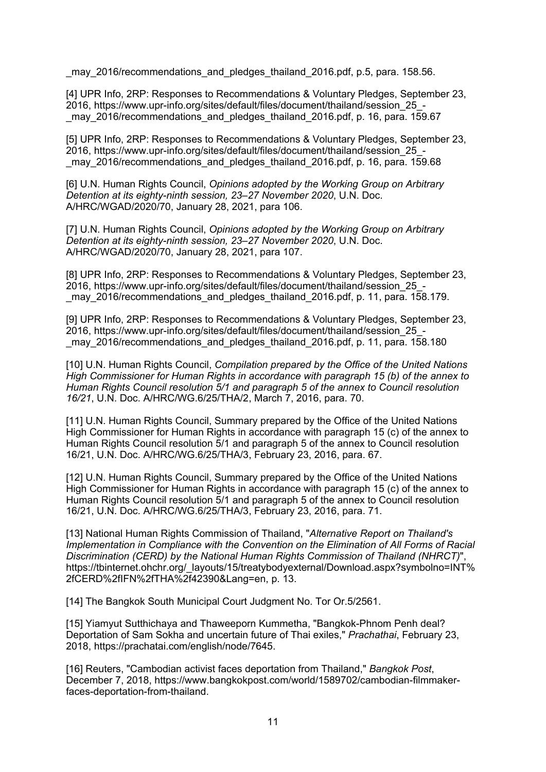may 2016/recommendations and pledges thailand 2016.pdf, p.5, para. 158.56.

[4] UPR Info, 2RP: Responses to Recommendations & Voluntary Pledges, September 23, 2016, https://www.upr-info.org/sites/default/files/document/thailand/session\_25\_ may 2016/recommendations and pledges thailand 2016.pdf, p. 16, para. 159.67

[5] UPR Info, 2RP: Responses to Recommendations & Voluntary Pledges, September 23, 2016, https://www.upr-info.org/sites/default/files/document/thailand/session\_25\_- \_may\_2016/recommendations\_and\_pledges\_thailand\_2016.pdf, p. 16, para. 159.68

[6] U.N. Human Rights Council, *Opinions adopted by the Working Group on Arbitrary Detention at its eighty-ninth session, 23–27 November 2020*, U.N. Doc. A/HRC/WGAD/2020/70, January 28, 2021, para 106.

[7] U.N. Human Rights Council, *Opinions adopted by the Working Group on Arbitrary Detention at its eighty-ninth session, 23–27 November 2020*, U.N. Doc. A/HRC/WGAD/2020/70, January 28, 2021, para 107.

[8] UPR Info, 2RP: Responses to Recommendations & Voluntary Pledges, September 23, 2016, https://www.upr-info.org/sites/default/files/document/thailand/session\_25\_ may 2016/recommendations and pledges thailand 2016.pdf, p. 11, para. 158.179.

[9] UPR Info, 2RP: Responses to Recommendations & Voluntary Pledges, September 23, 2016, https://www.upr-info.org/sites/default/files/document/thailand/session\_25\_- \_may\_2016/recommendations\_and\_pledges\_thailand\_2016.pdf, p. 11, para. 158.180

[10] U.N. Human Rights Council, *Compilation prepared by the Office of the United Nations High Commissioner for Human Rights in accordance with paragraph 15 (b) of the annex to Human Rights Council resolution 5/1 and paragraph 5 of the annex to Council resolution 16/21*, U.N. Doc. A/HRC/WG.6/25/THA/2, March 7, 2016, para. 70.

[11] U.N. Human Rights Council, Summary prepared by the Office of the United Nations High Commissioner for Human Rights in accordance with paragraph 15 (c) of the annex to Human Rights Council resolution 5/1 and paragraph 5 of the annex to Council resolution 16/21, U.N. Doc. A/HRC/WG.6/25/THA/3, February 23, 2016, para. 67.

[12] U.N. Human Rights Council, Summary prepared by the Office of the United Nations High Commissioner for Human Rights in accordance with paragraph 15 (c) of the annex to Human Rights Council resolution 5/1 and paragraph 5 of the annex to Council resolution 16/21, U.N. Doc. A/HRC/WG.6/25/THA/3, February 23, 2016, para. 71.

[13] National Human Rights Commission of Thailand, "*Alternative Report on Thailand's Implementation in Compliance with the Convention on the Elimination of All Forms of Racial Discrimination (CERD) by the National Human Rights Commission of Thailand (NHRCT)*", https://tbinternet.ohchr.org/\_layouts/15/treatybodyexternal/Download.aspx?symbolno=INT% 2fCERD%2fIFN%2fTHA%2f42390&Lang=en, p. 13.

[14] The Bangkok South Municipal Court Judgment No. Tor Or.5/2561.

[15] Yiamyut Sutthichaya and Thaweeporn Kummetha, "Bangkok-Phnom Penh deal? Deportation of Sam Sokha and uncertain future of Thai exiles," *Prachathai*, February 23, 2018, https://prachatai.com/english/node/7645.

[16] Reuters, "Cambodian activist faces deportation from Thailand," *Bangkok Post*, December 7, 2018, https://www.bangkokpost.com/world/1589702/cambodian-filmmakerfaces-deportation-from-thailand.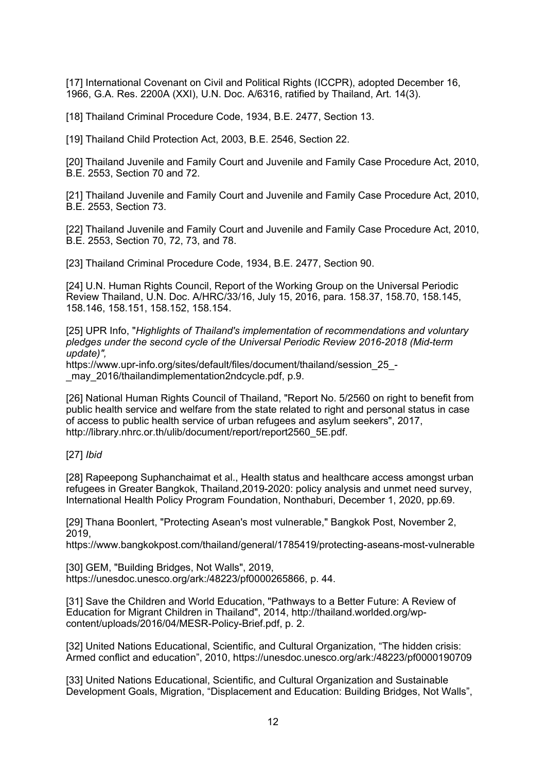[17] International Covenant on Civil and Political Rights (ICCPR), adopted December 16, 1966, G.A. Res. 2200A (XXI), U.N. Doc. A/6316, ratified by Thailand, Art. 14(3).

[18] Thailand Criminal Procedure Code, 1934, B.E. 2477, Section 13.

[19] Thailand Child Protection Act, 2003, B.E. 2546, Section 22.

[20] Thailand Juvenile and Family Court and Juvenile and Family Case Procedure Act, 2010, B.E. 2553, Section 70 and 72.

[21] Thailand Juvenile and Family Court and Juvenile and Family Case Procedure Act, 2010, B.E. 2553, Section 73.

[22] Thailand Juvenile and Family Court and Juvenile and Family Case Procedure Act, 2010, B.E. 2553, Section 70, 72, 73, and 78.

[23] Thailand Criminal Procedure Code, 1934, B.E. 2477, Section 90.

[24] U.N. Human Rights Council, Report of the Working Group on the Universal Periodic Review Thailand, U.N. Doc. A/HRC/33/16, July 15, 2016, para. 158.37, 158.70, 158.145, 158.146, 158.151, 158.152, 158.154.

[25] UPR Info, "*Highlights of Thailand's implementation of recommendations and voluntary pledges under the second cycle of the Universal Periodic Review 2016-2018 (Mid-term update)",*

https://www.upr-info.org/sites/default/files/document/thailand/session 25 may 2016/thailandimplementation2ndcycle.pdf, p.9.

[26] National Human Rights Council of Thailand, "Report No. 5/2560 on right to benefit from public health service and welfare from the state related to right and personal status in case of access to public health service of urban refugees and asylum seekers", 2017, http://library.nhrc.or.th/ulib/document/report/report2560\_5E.pdf.

[27] *Ibid*

[28] Rapeepong Suphanchaimat et al., Health status and healthcare access amongst urban refugees in Greater Bangkok, Thailand,2019-2020: policy analysis and unmet need survey, International Health Policy Program Foundation, Nonthaburi, December 1, 2020, pp.69.

[29] Thana Boonlert, "Protecting Asean's most vulnerable," Bangkok Post, November 2, 2019,

https://www.bangkokpost.com/thailand/general/1785419/protecting-aseans-most-vulnerable

[30] GEM, "Building Bridges, Not Walls", 2019, https://unesdoc.unesco.org/ark:/48223/pf0000265866, p. 44.

[31] Save the Children and World Education, "Pathways to a Better Future: A Review of Education for Migrant Children in Thailand", 2014, http://thailand.worlded.org/wpcontent/uploads/2016/04/MESR-Policy-Brief.pdf, p. 2.

[32] United Nations Educational, Scientific, and Cultural Organization, "The hidden crisis: Armed conflict and education", 2010, https://unesdoc.unesco.org/ark:/48223/pf0000190709

[33] United Nations Educational, Scientific, and Cultural Organization and Sustainable Development Goals, Migration, "Displacement and Education: Building Bridges, Not Walls",